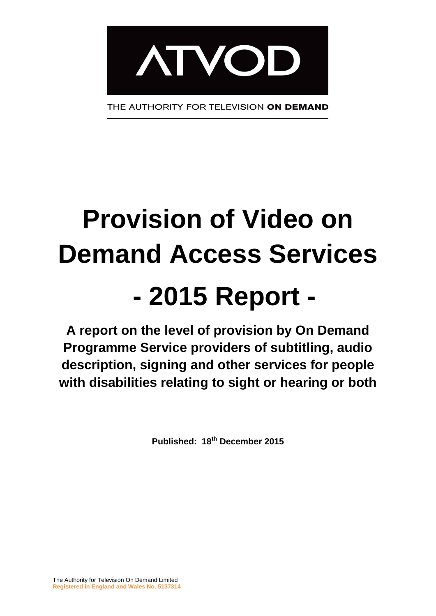

# **Provision of Video on Demand Access Services - 2015 Report -**

**A report on the level of provision by On Demand Programme Service providers of subtitling, audio description, signing and other services for people with disabilities relating to sight or hearing or both**

**Published: 18th December 2015**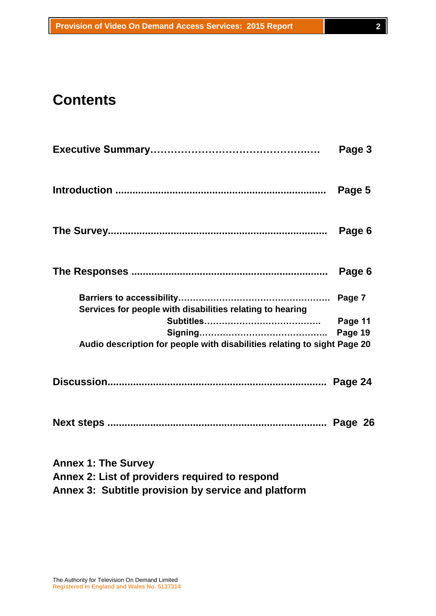# **Contents**

|                                                                          | Page 3  |  |
|--------------------------------------------------------------------------|---------|--|
|                                                                          | Page 5  |  |
|                                                                          | Page 6  |  |
|                                                                          | Page 6  |  |
| Services for people with disabilities relating to hearing                |         |  |
|                                                                          | Page 11 |  |
|                                                                          | Page 19 |  |
| Audio description for people with disabilities relating to sight Page 20 |         |  |
|                                                                          |         |  |
|                                                                          |         |  |
| <b>Annex 1: The Survey</b>                                               |         |  |

**Annex 2: List of providers required to respond**

**Annex 3: Subtitle provision by service and platform**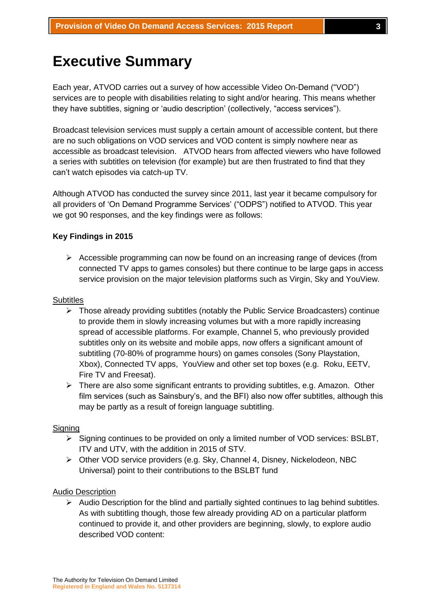# **Executive Summary**

Each year, ATVOD carries out a survey of how accessible Video On-Demand ("VOD") services are to people with disabilities relating to sight and/or hearing. This means whether they have subtitles, signing or 'audio description' (collectively, "access services").

Broadcast television services must supply a certain amount of accessible content, but there are no such obligations on VOD services and VOD content is simply nowhere near as accessible as broadcast television. ATVOD hears from affected viewers who have followed a series with subtitles on television (for example) but are then frustrated to find that they can't watch episodes via catch-up TV.

Although ATVOD has conducted the survey since 2011, last year it became compulsory for all providers of 'On Demand Programme Services' ("ODPS") notified to ATVOD. This year we got 90 responses, and the key findings were as follows:

#### **Key Findings in 2015**

 $\triangleright$  Accessible programming can now be found on an increasing range of devices (from connected TV apps to games consoles) but there continue to be large gaps in access service provision on the major television platforms such as Virgin, Sky and YouView.

#### **Subtitles**

- $\triangleright$  Those already providing subtitles (notably the Public Service Broadcasters) continue to provide them in slowly increasing volumes but with a more rapidly increasing spread of accessible platforms. For example, Channel 5, who previously provided subtitles only on its website and mobile apps, now offers a significant amount of subtitling (70-80% of programme hours) on games consoles (Sony Playstation, Xbox), Connected TV apps, YouView and other set top boxes (e.g. Roku, EETV, Fire TV and Freesat).
- $\triangleright$  There are also some significant entrants to providing subtitles, e.g. Amazon. Other film services (such as Sainsbury's, and the BFI) also now offer subtitles, although this may be partly as a result of foreign language subtitling.

#### **Signing**

- $\triangleright$  Signing continues to be provided on only a limited number of VOD services: BSLBT, ITV and UTV, with the addition in 2015 of STV.
- $\triangleright$  Other VOD service providers (e.g. Sky, Channel 4, Disney, Nickelodeon, NBC Universal) point to their contributions to the BSLBT fund

#### Audio Description

 $\triangleright$  Audio Description for the blind and partially sighted continues to lag behind subtitles. As with subtitling though, those few already providing AD on a particular platform continued to provide it, and other providers are beginning, slowly, to explore audio described VOD content: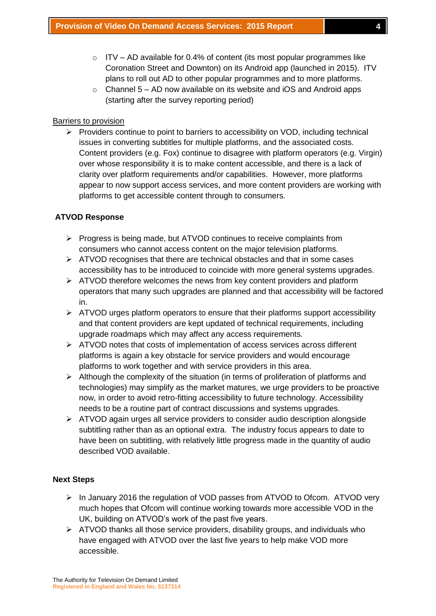- $\circ$  ITV AD available for 0.4% of content (its most popular programmes like Coronation Street and Downton) on its Android app (launched in 2015). ITV plans to roll out AD to other popular programmes and to more platforms.
- $\circ$  Channel 5 AD now available on its website and iOS and Android apps (starting after the survey reporting period)

#### Barriers to provision

 $\triangleright$  Providers continue to point to barriers to accessibility on VOD, including technical issues in converting subtitles for multiple platforms, and the associated costs. Content providers (e.g. Fox) continue to disagree with platform operators (e.g. Virgin) over whose responsibility it is to make content accessible, and there is a lack of clarity over platform requirements and/or capabilities. However, more platforms appear to now support access services, and more content providers are working with platforms to get accessible content through to consumers.

#### **ATVOD Response**

- $\triangleright$  Progress is being made, but ATVOD continues to receive complaints from consumers who cannot access content on the major television platforms.
- $\triangleright$  ATVOD recognises that there are technical obstacles and that in some cases accessibility has to be introduced to coincide with more general systems upgrades.
- $\triangleright$  ATVOD therefore welcomes the news from key content providers and platform operators that many such upgrades are planned and that accessibility will be factored in.
- $\triangleright$  ATVOD urges platform operators to ensure that their platforms support accessibility and that content providers are kept updated of technical requirements, including upgrade roadmaps which may affect any access requirements.
- ATVOD notes that costs of implementation of access services across different platforms is again a key obstacle for service providers and would encourage platforms to work together and with service providers in this area.
- $\triangleright$  Although the complexity of the situation (in terms of proliferation of platforms and technologies) may simplify as the market matures, we urge providers to be proactive now, in order to avoid retro-fitting accessibility to future technology. Accessibility needs to be a routine part of contract discussions and systems upgrades.
- $\triangleright$  ATVOD again urges all service providers to consider audio description alongside subtitling rather than as an optional extra. The industry focus appears to date to have been on subtitling, with relatively little progress made in the quantity of audio described VOD available.

#### **Next Steps**

- $\triangleright$  In January 2016 the regulation of VOD passes from ATVOD to Ofcom. ATVOD very much hopes that Ofcom will continue working towards more accessible VOD in the UK, building on ATVOD's work of the past five years.
- $\triangleright$  ATVOD thanks all those service providers, disability groups, and individuals who have engaged with ATVOD over the last five years to help make VOD more accessible.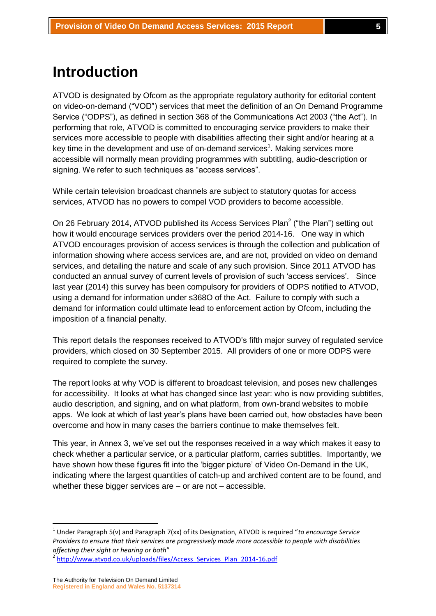# **Introduction**

ATVOD is designated by Ofcom as the appropriate regulatory authority for editorial content on video-on-demand ("VOD") services that meet the definition of an On Demand Programme Service ("ODPS"), as defined in section 368 of the Communications Act 2003 ("the Act"). In performing that role, ATVOD is committed to encouraging service providers to make their services more accessible to people with disabilities affecting their sight and/or hearing at a key time in the development and use of on-demand services<sup>1</sup>. Making services more accessible will normally mean providing programmes with subtitling, audio-description or signing. We refer to such techniques as "access services".

While certain television broadcast channels are subject to statutory quotas for access services, ATVOD has no powers to compel VOD providers to become accessible.

On 26 February 2014, ATVOD published its Access Services Plan<sup>2</sup> ("the Plan") setting out how it would encourage services providers over the period 2014-16. One way in which ATVOD encourages provision of access services is through the collection and publication of information showing where access services are, and are not, provided on video on demand services, and detailing the nature and scale of any such provision. Since 2011 ATVOD has conducted an annual survey of current levels of provision of such 'access services'. Since last year (2014) this survey has been compulsory for providers of ODPS notified to ATVOD, using a demand for information under s368O of the Act. Failure to comply with such a demand for information could ultimate lead to enforcement action by Ofcom, including the imposition of a financial penalty.

This report details the responses received to ATVOD's fifth major survey of regulated service providers, which closed on 30 September 2015. All providers of one or more ODPS were required to complete the survey.

The report looks at why VOD is different to broadcast television, and poses new challenges for accessibility. It looks at what has changed since last year: who is now providing subtitles, audio description, and signing, and on what platform, from own-brand websites to mobile apps. We look at which of last year's plans have been carried out, how obstacles have been overcome and how in many cases the barriers continue to make themselves felt.

This year, in Annex 3, we've set out the responses received in a way which makes it easy to check whether a particular service, or a particular platform, carries subtitles. Importantly, we have shown how these figures fit into the 'bigger picture' of Video On-Demand in the UK, indicating where the largest quantities of catch-up and archived content are to be found, and whether these bigger services are – or are not – accessible.

1

<sup>1</sup> Under Paragraph 5(v) and Paragraph 7(xx) of its Designation, ATVOD is required "*to encourage Service Providers to ensure that their services are progressively made more accessible to people with disabilities affecting their sight or hearing or both*"

<sup>2</sup> [http://www.atvod.co.uk/uploads/files/Access\\_Services\\_Plan\\_2014-16.pdf](http://www.atvod.co.uk/uploads/files/Access_Services_Plan_2014-16.pdf)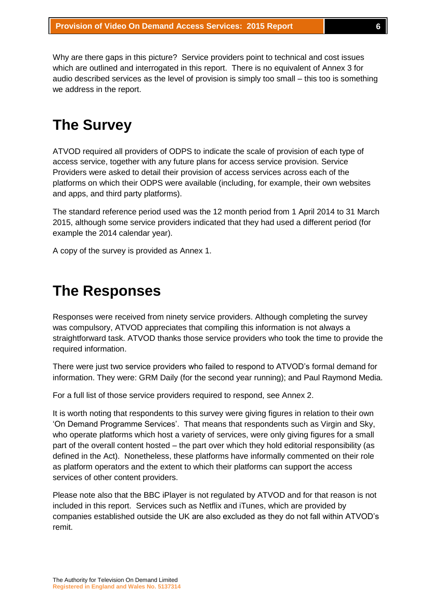Why are there gaps in this picture? Service providers point to technical and cost issues which are outlined and interrogated in this report. There is no equivalent of Annex 3 for audio described services as the level of provision is simply too small – this too is something we address in the report.

# **The Survey**

ATVOD required all providers of ODPS to indicate the scale of provision of each type of access service, together with any future plans for access service provision. Service Providers were asked to detail their provision of access services across each of the platforms on which their ODPS were available (including, for example, their own websites and apps, and third party platforms).

The standard reference period used was the 12 month period from 1 April 2014 to 31 March 2015, although some service providers indicated that they had used a different period (for example the 2014 calendar year).

A copy of the survey is provided as Annex 1.

# **The Responses**

Responses were received from ninety service providers. Although completing the survey was compulsory, ATVOD appreciates that compiling this information is not always a straightforward task. ATVOD thanks those service providers who took the time to provide the required information.

There were just two service providers who failed to respond to ATVOD's formal demand for information. They were: GRM Daily (for the second year running); and Paul Raymond Media.

For a full list of those service providers required to respond, see Annex 2.

It is worth noting that respondents to this survey were giving figures in relation to their own 'On Demand Programme Services'. That means that respondents such as Virgin and Sky, who operate platforms which host a variety of services, were only giving figures for a small part of the overall content hosted – the part over which they hold editorial responsibility (as defined in the Act). Nonetheless, these platforms have informally commented on their role as platform operators and the extent to which their platforms can support the access services of other content providers.

Please note also that the BBC iPlayer is not regulated by ATVOD and for that reason is not included in this report. Services such as Netflix and iTunes, which are provided by companies established outside the UK are also excluded as they do not fall within ATVOD's remit.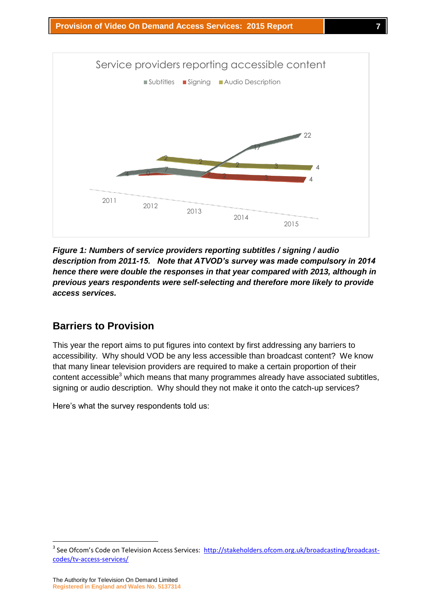

*Figure 1: Numbers of service providers reporting subtitles / signing / audio description from 2011-15. Note that ATVOD's survey was made compulsory in 2014 hence there were double the responses in that year compared with 2013, although in previous years respondents were self-selecting and therefore more likely to provide access services.*

# **Barriers to Provision**

This year the report aims to put figures into context by first addressing any barriers to accessibility. Why should VOD be any less accessible than broadcast content? We know that many linear television providers are required to make a certain proportion of their content accessible $3$  which means that many programmes already have associated subtitles, signing or audio description. Why should they not make it onto the catch-up services?

Here's what the survey respondents told us:

1

<sup>&</sup>lt;sup>3</sup> See Ofcom's Code on Television Access Services: [http://stakeholders.ofcom.org.uk/broadcasting/broadcast](http://stakeholders.ofcom.org.uk/broadcasting/broadcast-codes/tv-access-services/)[codes/tv-access-services/](http://stakeholders.ofcom.org.uk/broadcasting/broadcast-codes/tv-access-services/)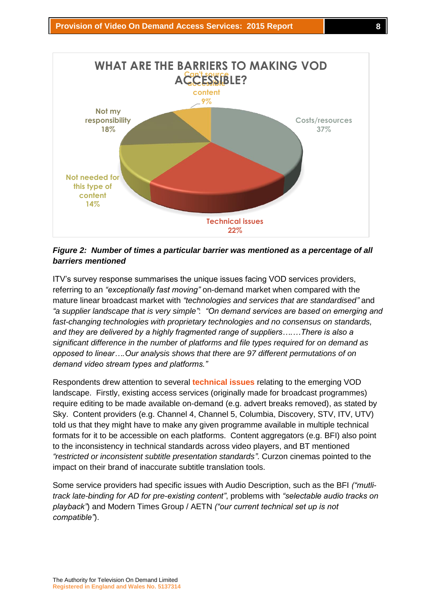

## *Figure 2: Number of times a particular barrier was mentioned as a percentage of all barriers mentioned*

ITV's survey response summarises the unique issues facing VOD services providers, referring to an *"exceptionally fast moving"* on-demand market when compared with the mature linear broadcast market with *"technologies and services that are standardised"* and *"a supplier landscape that is very simple"*: *"On demand services are based on emerging and fast-changing technologies with proprietary technologies and no consensus on standards, and they are delivered by a highly fragmented range of suppliers….…There is also a significant difference in the number of platforms and file types required for on demand as opposed to linear….Our analysis shows that there are 97 different permutations of on demand video stream types and platforms."*

Respondents drew attention to several **technical issues** relating to the emerging VOD landscape. Firstly, existing access services (originally made for broadcast programmes) require editing to be made available on-demand (e.g. advert breaks removed), as stated by Sky. Content providers (e.g. Channel 4, Channel 5, Columbia, Discovery, STV, ITV, UTV) told us that they might have to make any given programme available in multiple technical formats for it to be accessible on each platforms. Content aggregators (e.g. BFI) also point to the inconsistency in technical standards across video players, and BT mentioned *"restricted or inconsistent subtitle presentation standards"*. Curzon cinemas pointed to the impact on their brand of inaccurate subtitle translation tools.

Some service providers had specific issues with Audio Description, such as the BFI *("mutlitrack late-binding for AD for pre-existing content"*, problems with *"selectable audio tracks on playback"*) and Modern Times Group / AETN *("our current technical set up is not compatible"*).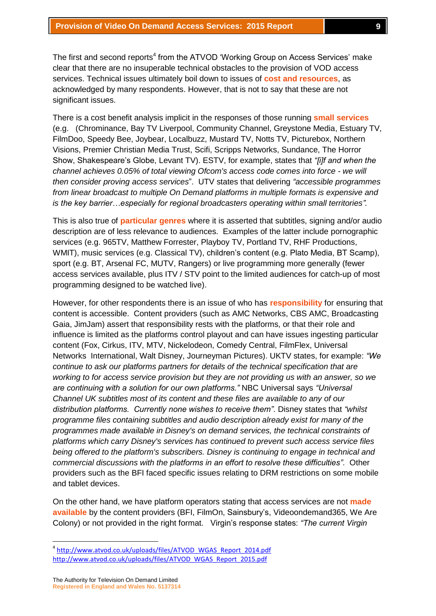The first and second reports<sup>4</sup> from the ATVOD 'Working Group on Access Services' make clear that there are no insuperable technical obstacles to the provision of VOD access services. Technical issues ultimately boil down to issues of **cost and resources**, as acknowledged by many respondents. However, that is not to say that these are not significant issues.

There is a cost benefit analysis implicit in the responses of those running **small services** (e.g. (Chrominance, Bay TV Liverpool, Community Channel, Greystone Media, Estuary TV, FilmDoo, Speedy Bee, Joybear, Localbuzz, Mustard TV, Notts TV, Picturebox, Northern Visions, Premier Christian Media Trust, Scifi, Scripps Networks, Sundance, The Horror Show, Shakespeare's Globe, Levant TV). ESTV, for example, states that *"[i]f and when the channel achieves 0.05% of total viewing Ofcom's access code comes into force - we will then consider proving access services*". UTV states that delivering *"accessible programmes from linear broadcast to multiple On Demand platforms in multiple formats is expensive and is the key barrier…especially for regional broadcasters operating within small territories".*

This is also true of **particular genres** where it is asserted that subtitles, signing and/or audio description are of less relevance to audiences. Examples of the latter include pornographic services (e.g. 965TV, Matthew Forrester, Playboy TV, Portland TV, RHF Productions, WMIT), music services (e.g. Classical TV), children's content (e.g. Plato Media, BT Scamp), sport (e.g. BT, Arsenal FC, MUTV, Rangers) or live programming more generally (fewer access services available, plus ITV / STV point to the limited audiences for catch-up of most programming designed to be watched live).

However, for other respondents there is an issue of who has **responsibility** for ensuring that content is accessible. Content providers (such as AMC Networks, CBS AMC, Broadcasting Gaia, JimJam) assert that responsibility rests with the platforms, or that their role and influence is limited as the platforms control playout and can have issues ingesting particular content (Fox, Cirkus, ITV, MTV, Nickelodeon, Comedy Central, FilmFlex, Universal Networks International, Walt Disney, Journeyman Pictures). UKTV states, for example: *"We continue to ask our platforms partners for details of the technical specification that are working to for access service provision but they are not providing us with an answer, so we are continuing with a solution for our own platforms."* NBC Universal says *"Universal Channel UK subtitles most of its content and these files are available to any of our distribution platforms. Currently none wishes to receive them"*. Disney states that *"whilst programme files containing subtitles and audio description already exist for many of the programmes made available in Disney's on demand services, the technical constraints of platforms which carry Disney's services has continued to prevent such access service files being offered to the platform's subscribers. Disney is continuing to engage in technical and commercial discussions with the platforms in an effort to resolve these difficulties"*. Other providers such as the BFI faced specific issues relating to DRM restrictions on some mobile and tablet devices.

On the other hand, we have platform operators stating that access services are not **made available** by the content providers (BFI, FilmOn, Sainsbury's, Videoondemand365, We Are Colony) or not provided in the right format. Virgin's response states: *"The current Virgin* 

1

<sup>&</sup>lt;sup>4</sup> [http://www.atvod.co.uk/uploads/files/ATVOD\\_WGAS\\_Report\\_2014.pdf](http://www.atvod.co.uk/uploads/files/ATVOD_WGAS_Report_2014.pdf) [http://www.atvod.co.uk/uploads/files/ATVOD\\_WGAS\\_Report\\_2015.pdf](http://www.atvod.co.uk/uploads/files/ATVOD_WGAS_Report_2015.pdf)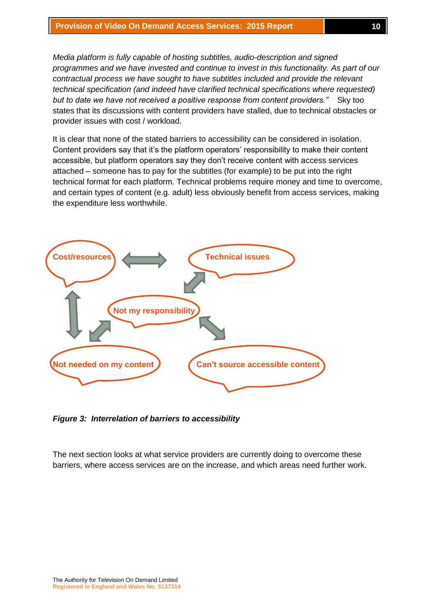*Media platform is fully capable of hosting subtitles, audio-description and signed programmes and we have invested and continue to invest in this functionality. As part of our contractual process we have sought to have subtitles included and provide the relevant technical specification (and indeed have clarified technical specifications where requested) but to date we have not received a positive response from content providers."* Sky too states that its discussions with content providers have stalled, due to technical obstacles or provider issues with cost / workload.

It is clear that none of the stated barriers to accessibility can be considered in isolation. Content providers say that it's the platform operators' responsibility to make their content accessible, but platform operators say they don't receive content with access services attached – someone has to pay for the subtitles (for example) to be put into the right technical format for each platform. Technical problems require money and time to overcome, and certain types of content (e.g. adult) less obviously benefit from access services, making the expenditure less worthwhile.



*Figure 3: Interrelation of barriers to accessibility*

The next section looks at what service providers are currently doing to overcome these barriers, where access services are on the increase, and which areas need further work.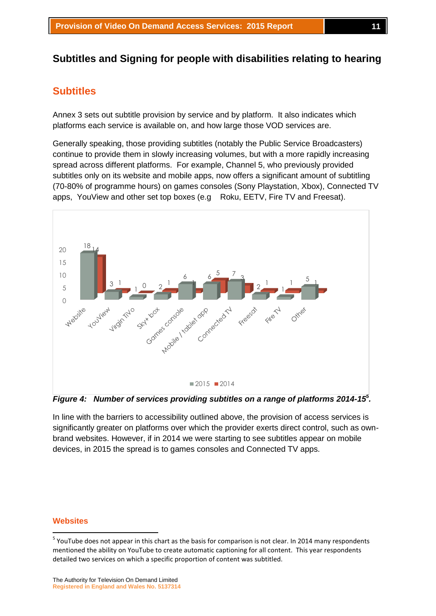# **Subtitles and Signing for people with disabilities relating to hearing**

# **Subtitles**

Annex 3 sets out subtitle provision by service and by platform. It also indicates which platforms each service is available on, and how large those VOD services are.

Generally speaking, those providing subtitles (notably the Public Service Broadcasters) continue to provide them in slowly increasing volumes, but with a more rapidly increasing spread across different platforms. For example, Channel 5, who previously provided subtitles only on its website and mobile apps, now offers a significant amount of subtitling (70-80% of programme hours) on games consoles (Sony Playstation, Xbox), Connected TV apps, YouView and other set top boxes (e.g Roku, EETV, Fire TV and Freesat).



*Figure 4: Number of services providing subtitles on a range of platforms 2014-15<sup>5</sup> .*

In line with the barriers to accessibility outlined above, the provision of access services is significantly greater on platforms over which the provider exerts direct control, such as ownbrand websites. However, if in 2014 we were starting to see subtitles appear on mobile devices, in 2015 the spread is to games consoles and Connected TV apps.

#### **Websites**

**.** 

<sup>&</sup>lt;sup>5</sup> YouTube does not appear in this chart as the basis for comparison is not clear. In 2014 many respondents mentioned the ability on YouTube to create automatic captioning for all content. This year respondents detailed two services on which a specific proportion of content was subtitled.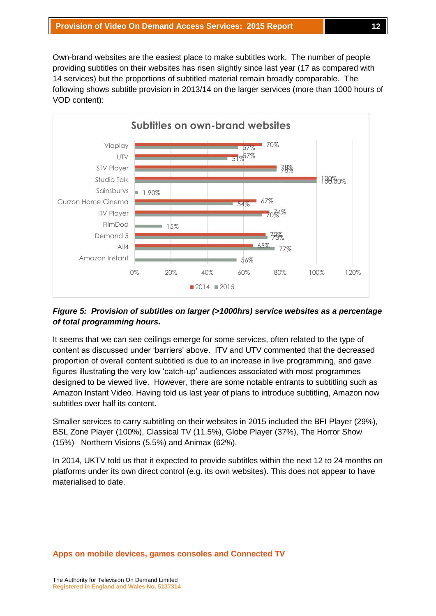Own-brand websites are the easiest place to make subtitles work. The number of people providing subtitles on their websites has risen slightly since last year (17 as compared with 14 services) but the proportions of subtitled material remain broadly comparable. The following shows subtitle provision in 2013/14 on the larger services (more than 1000 hours of VOD content):



# *Figure 5: Provision of subtitles on larger (>1000hrs) service websites as a percentage of total programming hours.*

It seems that we can see ceilings emerge for some services, often related to the type of content as discussed under 'barriers' above. ITV and UTV commented that the decreased proportion of overall content subtitled is due to an increase in live programming, and gave figures illustrating the very low 'catch-up' audiences associated with most programmes designed to be viewed live. However, there are some notable entrants to subtitling such as Amazon Instant Video. Having told us last year of plans to introduce subtitling, Amazon now subtitles over half its content.

Smaller services to carry subtitling on their websites in 2015 included the BFI Player (29%), BSL Zone Player (100%), Classical TV (11.5%), Globe Player (37%), The Horror Show (15%) Northern Visions (5.5%) and Animax (62%).

In 2014, UKTV told us that it expected to provide subtitles within the next 12 to 24 months on platforms under its own direct control (e.g. its own websites). This does not appear to have materialised to date.

#### **Apps on mobile devices, games consoles and Connected TV**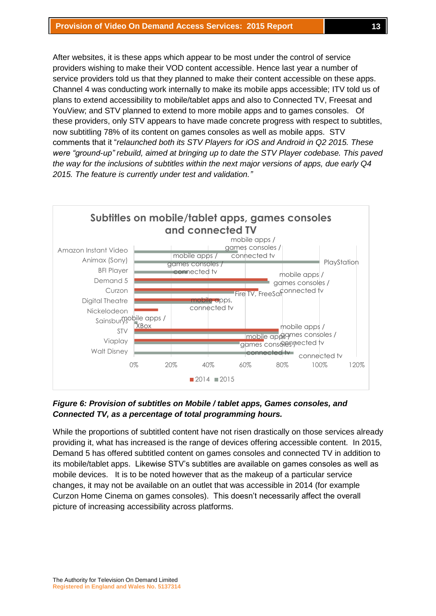After websites, it is these apps which appear to be most under the control of service providers wishing to make their VOD content accessible. Hence last year a number of service providers told us that they planned to make their content accessible on these apps. Channel 4 was conducting work internally to make its mobile apps accessible; ITV told us of plans to extend accessibility to mobile/tablet apps and also to Connected TV, Freesat and YouView; and STV planned to extend to more mobile apps and to games consoles. Of these providers, only STV appears to have made concrete progress with respect to subtitles, now subtitling 78% of its content on games consoles as well as mobile apps. STV comments that it "*relaunched both its STV Players for iOS and Android in Q2 2015. These were "ground-up" rebuild, aimed at bringing up to date the STV Player codebase. This paved the way for the inclusions of subtitles within the next major versions of apps, due early Q4 2015. The feature is currently under test and validation."*



## *Figure 6: Provision of subtitles on Mobile / tablet apps, Games consoles, and Connected TV, as a percentage of total programming hours.*

While the proportions of subtitled content have not risen drastically on those services already providing it, what has increased is the range of devices offering accessible content. In 2015, Demand 5 has offered subtitled content on games consoles and connected TV in addition to its mobile/tablet apps. Likewise STV's subtitles are available on games consoles as well as mobile devices. It is to be noted however that as the makeup of a particular service changes, it may not be available on an outlet that was accessible in 2014 (for example Curzon Home Cinema on games consoles). This doesn't necessarily affect the overall picture of increasing accessibility across platforms.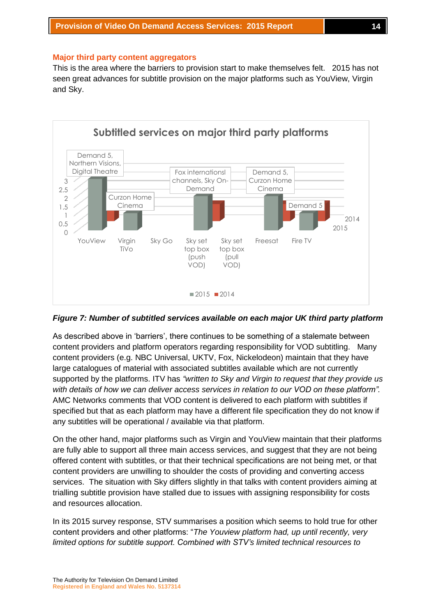#### **Major third party content aggregators**

This is the area where the barriers to provision start to make themselves felt. 2015 has not seen great advances for subtitle provision on the major platforms such as YouView, Virgin and Sky.



*Figure 7: Number of subtitled services available on each major UK third party platform*

As described above in 'barriers', there continues to be something of a stalemate between content providers and platform operators regarding responsibility for VOD subtitling. Many content providers (e.g. NBC Universal, UKTV, Fox, Nickelodeon) maintain that they have large catalogues of material with associated subtitles available which are not currently supported by the platforms. ITV has *"written to Sky and Virgin to request that they provide us with details of how we can deliver access services in relation to our VOD on these platform".* AMC Networks comments that VOD content is delivered to each platform with subtitles if specified but that as each platform may have a different file specification they do not know if any subtitles will be operational / available via that platform.

On the other hand, major platforms such as Virgin and YouView maintain that their platforms are fully able to support all three main access services, and suggest that they are not being offered content with subtitles, or that their technical specifications are not being met, or that content providers are unwilling to shoulder the costs of providing and converting access services. The situation with Sky differs slightly in that talks with content providers aiming at trialling subtitle provision have stalled due to issues with assigning responsibility for costs and resources allocation.

In its 2015 survey response, STV summarises a position which seems to hold true for other content providers and other platforms: "*The Youview platform had, up until recently, very limited options for subtitle support. Combined with STV's limited technical resources to*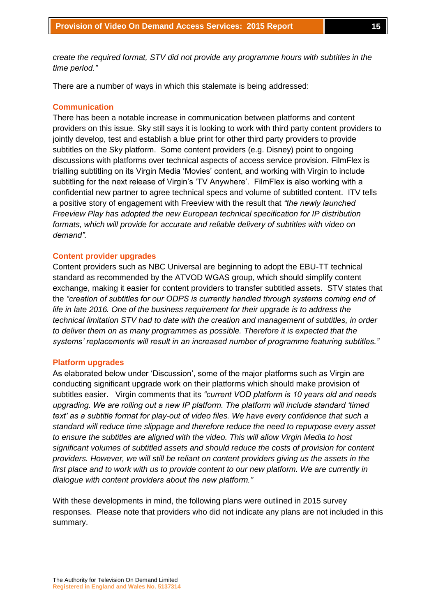*create the required format, STV did not provide any programme hours with subtitles in the time period."*

There are a number of ways in which this stalemate is being addressed:

### **Communication**

There has been a notable increase in communication between platforms and content providers on this issue. Sky still says it is looking to work with third party content providers to jointly develop, test and establish a blue print for other third party providers to provide subtitles on the Sky platform. Some content providers (e.g. Disney) point to ongoing discussions with platforms over technical aspects of access service provision. FilmFlex is trialling subtitling on its Virgin Media 'Movies' content, and working with Virgin to include subtitling for the next release of Virgin's 'TV Anywhere'. FilmFlex is also working with a confidential new partner to agree technical specs and volume of subtitled content. ITV tells a positive story of engagement with Freeview with the result that *"the newly launched Freeview Play has adopted the new European technical specification for IP distribution formats, which will provide for accurate and reliable delivery of subtitles with video on demand".*

#### **Content provider upgrades**

Content providers such as NBC Universal are beginning to adopt the EBU-TT technical standard as recommended by the ATVOD WGAS group, which should simplify content exchange, making it easier for content providers to transfer subtitled assets. STV states that the *"creation of subtitles for our ODPS is currently handled through systems coming end of life in late 2016. One of the business requirement for their upgrade is to address the technical limitation STV had to date with the creation and management of subtitles, in order to deliver them on as many programmes as possible. Therefore it is expected that the systems' replacements will result in an increased number of programme featuring subtitles."*

#### **Platform upgrades**

As elaborated below under 'Discussion', some of the major platforms such as Virgin are conducting significant upgrade work on their platforms which should make provision of subtitles easier. Virgin comments that its *"current VOD platform is 10 years old and needs upgrading. We are rolling out a new IP platform. The platform will include standard 'timed text' as a subtitle format for play-out of video files. We have every confidence that such a standard will reduce time slippage and therefore reduce the need to repurpose every asset to ensure the subtitles are aligned with the video. This will allow Virgin Media to host significant volumes of subtitled assets and should reduce the costs of provision for content providers. However, we will still be reliant on content providers giving us the assets in the first place and to work with us to provide content to our new platform. We are currently in dialogue with content providers about the new platform."*

With these developments in mind, the following plans were outlined in 2015 survey responses. Please note that providers who did not indicate any plans are not included in this summary.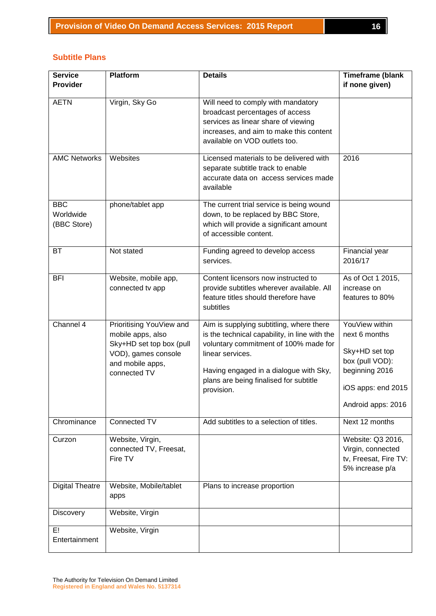| <b>Service</b><br><b>Provider</b>      | <b>Platform</b>                                                                                                                      | <b>Details</b>                                                                                                                                                                                                                                           | <b>Timeframe (blank</b><br>if none given)                                                                                          |
|----------------------------------------|--------------------------------------------------------------------------------------------------------------------------------------|----------------------------------------------------------------------------------------------------------------------------------------------------------------------------------------------------------------------------------------------------------|------------------------------------------------------------------------------------------------------------------------------------|
| <b>AETN</b>                            | Virgin, Sky Go                                                                                                                       | Will need to comply with mandatory<br>broadcast percentages of access<br>services as linear share of viewing<br>increases, and aim to make this content<br>available on VOD outlets too.                                                                 |                                                                                                                                    |
| <b>AMC Networks</b>                    | Websites                                                                                                                             | Licensed materials to be delivered with<br>separate subtitle track to enable<br>accurate data on access services made<br>available                                                                                                                       | 2016                                                                                                                               |
| <b>BBC</b><br>Worldwide<br>(BBC Store) | phone/tablet app                                                                                                                     | The current trial service is being wound<br>down, to be replaced by BBC Store,<br>which will provide a significant amount<br>of accessible content.                                                                                                      |                                                                                                                                    |
| <b>BT</b>                              | Not stated                                                                                                                           | Funding agreed to develop access<br>services.                                                                                                                                                                                                            | Financial year<br>2016/17                                                                                                          |
| <b>BFI</b>                             | Website, mobile app,<br>connected tv app                                                                                             | Content licensors now instructed to<br>provide subtitles wherever available. All<br>feature titles should therefore have<br>subtitles                                                                                                                    | As of Oct 1 2015,<br>increase on<br>features to 80%                                                                                |
| Channel 4                              | Prioritising YouView and<br>mobile apps, also<br>Sky+HD set top box (pull<br>VOD), games console<br>and mobile apps,<br>connected TV | Aim is supplying subtitling, where there<br>is the technical capability, in line with the<br>voluntary commitment of 100% made for<br>linear services.<br>Having engaged in a dialogue with Sky,<br>plans are being finalised for subtitle<br>provision. | YouView within<br>next 6 months<br>Sky+HD set top<br>box (pull VOD):<br>beginning 2016<br>iOS apps: end 2015<br>Android apps: 2016 |
| Chrominance                            | Connected TV                                                                                                                         | Add subtitles to a selection of titles.                                                                                                                                                                                                                  | Next 12 months                                                                                                                     |
| Curzon                                 | Website, Virgin,<br>connected TV, Freesat,<br>Fire TV                                                                                |                                                                                                                                                                                                                                                          | Website: Q3 2016,<br>Virgin, connected<br>tv, Freesat, Fire TV:<br>5% increase p/a                                                 |
| <b>Digital Theatre</b>                 | Website, Mobile/tablet<br>apps                                                                                                       | Plans to increase proportion                                                                                                                                                                                                                             |                                                                                                                                    |
| Discovery                              | Website, Virgin                                                                                                                      |                                                                                                                                                                                                                                                          |                                                                                                                                    |
| E!<br>Entertainment                    | Website, Virgin                                                                                                                      |                                                                                                                                                                                                                                                          |                                                                                                                                    |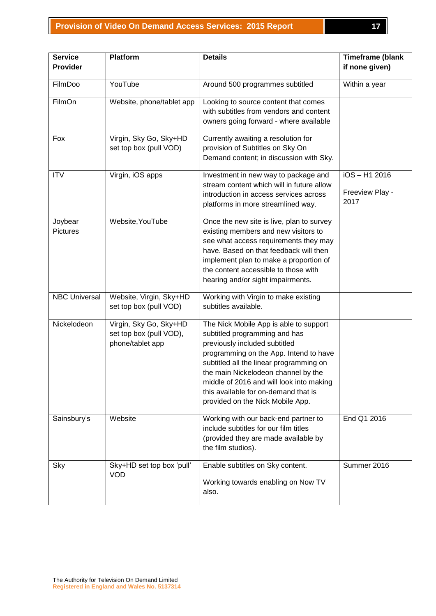| <b>Service</b><br>Provider | Platform                                                              | <b>Details</b>                                                                                                                                                                                                                                                                                                                                               | <b>Timeframe (blank</b><br>if none given)  |
|----------------------------|-----------------------------------------------------------------------|--------------------------------------------------------------------------------------------------------------------------------------------------------------------------------------------------------------------------------------------------------------------------------------------------------------------------------------------------------------|--------------------------------------------|
|                            |                                                                       |                                                                                                                                                                                                                                                                                                                                                              |                                            |
| FilmDoo                    | YouTube                                                               | Around 500 programmes subtitled                                                                                                                                                                                                                                                                                                                              | Within a year                              |
| FilmOn                     | Website, phone/tablet app                                             | Looking to source content that comes<br>with subtitles from vendors and content<br>owners going forward - where available                                                                                                                                                                                                                                    |                                            |
| Fox                        | Virgin, Sky Go, Sky+HD<br>set top box (pull VOD)                      | Currently awaiting a resolution for<br>provision of Subtitles on Sky On<br>Demand content; in discussion with Sky.                                                                                                                                                                                                                                           |                                            |
| <b>ITV</b>                 | Virgin, iOS apps                                                      | Investment in new way to package and<br>stream content which will in future allow<br>introduction in access services across<br>platforms in more streamlined way.                                                                                                                                                                                            | $iOS - H1 2016$<br>Freeview Play -<br>2017 |
| Joybear<br><b>Pictures</b> | Website, YouTube                                                      | Once the new site is live, plan to survey<br>existing members and new visitors to<br>see what access requirements they may<br>have. Based on that feedback will then<br>implement plan to make a proportion of<br>the content accessible to those with<br>hearing and/or sight impairments.                                                                  |                                            |
| <b>NBC Universal</b>       | Website, Virgin, Sky+HD<br>set top box (pull VOD)                     | Working with Virgin to make existing<br>subtitles available.                                                                                                                                                                                                                                                                                                 |                                            |
| Nickelodeon                | Virgin, Sky Go, Sky+HD<br>set top box (pull VOD),<br>phone/tablet app | The Nick Mobile App is able to support<br>subtitled programming and has<br>previously included subtitled<br>programming on the App. Intend to have<br>subtitled all the linear programming on<br>the main Nickelodeon channel by the<br>middle of 2016 and will look into making<br>this available for on-demand that is<br>provided on the Nick Mobile App. |                                            |
| Sainsbury's                | Website                                                               | Working with our back-end partner to<br>include subtitles for our film titles<br>(provided they are made available by<br>the film studios).                                                                                                                                                                                                                  | End Q1 2016                                |
| Sky                        | Sky+HD set top box 'pull'<br><b>VOD</b>                               | Enable subtitles on Sky content.<br>Working towards enabling on Now TV<br>also.                                                                                                                                                                                                                                                                              | Summer 2016                                |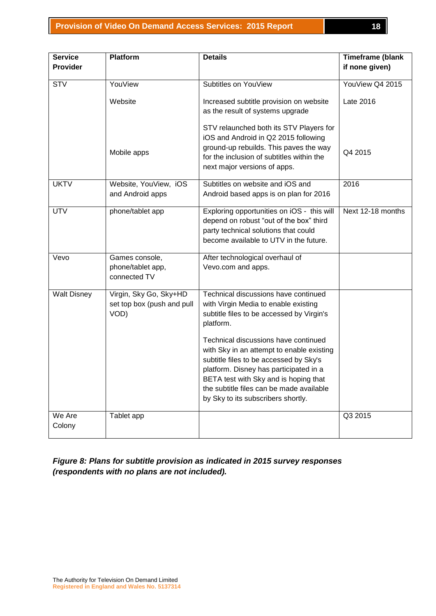| <b>Service</b>     | <b>Platform</b>                                              | <b>Details</b>                                                                                                                                                                                                                                                                                   | <b>Timeframe (blank</b> |
|--------------------|--------------------------------------------------------------|--------------------------------------------------------------------------------------------------------------------------------------------------------------------------------------------------------------------------------------------------------------------------------------------------|-------------------------|
| <b>Provider</b>    |                                                              |                                                                                                                                                                                                                                                                                                  | if none given)          |
| <b>STV</b>         | YouView                                                      | Subtitles on YouView                                                                                                                                                                                                                                                                             | YouView Q4 2015         |
|                    | Website                                                      | Increased subtitle provision on website<br>as the result of systems upgrade                                                                                                                                                                                                                      | Late 2016               |
|                    | Mobile apps                                                  | STV relaunched both its STV Players for<br>iOS and Android in Q2 2015 following<br>ground-up rebuilds. This paves the way<br>for the inclusion of subtitles within the<br>next major versions of apps.                                                                                           | Q4 2015                 |
| <b>UKTV</b>        | Website, YouView, iOS<br>and Android apps                    | Subtitles on website and iOS and<br>Android based apps is on plan for 2016                                                                                                                                                                                                                       | 2016                    |
| <b>UTV</b>         | phone/tablet app                                             | Exploring opportunities on iOS - this will<br>depend on robust "out of the box" third<br>party technical solutions that could<br>become available to UTV in the future.                                                                                                                          | Next 12-18 months       |
| Vevo               | Games console,<br>phone/tablet app,<br>connected TV          | After technological overhaul of<br>Vevo.com and apps.                                                                                                                                                                                                                                            |                         |
| <b>Walt Disney</b> | Virgin, Sky Go, Sky+HD<br>set top box (push and pull<br>VOD) | Technical discussions have continued<br>with Virgin Media to enable existing<br>subtitle files to be accessed by Virgin's<br>platform.                                                                                                                                                           |                         |
|                    |                                                              | Technical discussions have continued<br>with Sky in an attempt to enable existing<br>subtitle files to be accessed by Sky's<br>platform. Disney has participated in a<br>BETA test with Sky and is hoping that<br>the subtitle files can be made available<br>by Sky to its subscribers shortly. |                         |
| We Are<br>Colony   | Tablet app                                                   |                                                                                                                                                                                                                                                                                                  | Q3 2015                 |

*Figure 8: Plans for subtitle provision as indicated in 2015 survey responses (respondents with no plans are not included).*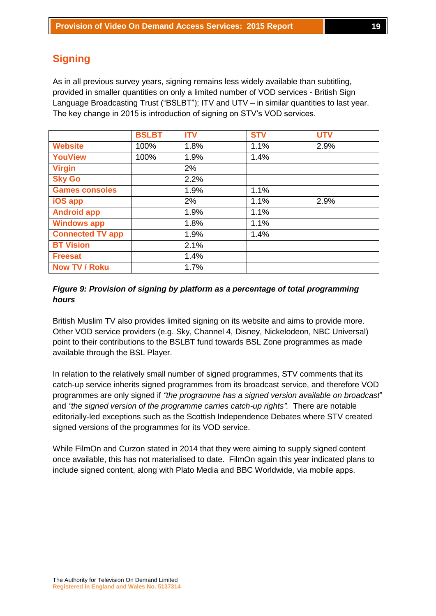# **Signing**

As in all previous survey years, signing remains less widely available than subtitling, provided in smaller quantities on only a limited number of VOD services - British Sign Language Broadcasting Trust ("BSLBT"); ITV and UTV – in similar quantities to last year. The key change in 2015 is introduction of signing on STV's VOD services.

|                         | <b>BSLBT</b> | <b>ITV</b> | <b>STV</b> | <b>UTV</b> |
|-------------------------|--------------|------------|------------|------------|
| <b>Website</b>          | 100%         | 1.8%       | 1.1%       | 2.9%       |
| <b>YouView</b>          | 100%         | 1.9%       | 1.4%       |            |
| <b>Virgin</b>           |              | 2%         |            |            |
| <b>Sky Go</b>           |              | 2.2%       |            |            |
| <b>Games consoles</b>   |              | 1.9%       | 1.1%       |            |
| iOS app                 |              | 2%         | 1.1%       | 2.9%       |
| <b>Android app</b>      |              | 1.9%       | 1.1%       |            |
| <b>Windows app</b>      |              | 1.8%       | 1.1%       |            |
| <b>Connected TV app</b> |              | 1.9%       | 1.4%       |            |
| <b>BT Vision</b>        |              | 2.1%       |            |            |
| <b>Freesat</b>          |              | 1.4%       |            |            |
| <b>Now TV / Roku</b>    |              | 1.7%       |            |            |

## *Figure 9: Provision of signing by platform as a percentage of total programming hours*

British Muslim TV also provides limited signing on its website and aims to provide more. Other VOD service providers (e.g. Sky, Channel 4, Disney, Nickelodeon, NBC Universal) point to their contributions to the BSLBT fund towards BSL Zone programmes as made available through the BSL Player.

In relation to the relatively small number of signed programmes, STV comments that its catch-up service inherits signed programmes from its broadcast service, and therefore VOD programmes are only signed if *"the programme has a signed version available on broadcast*" and *"the signed version of the programme carries catch-up rights".* There are notable editorially-led exceptions such as the Scottish Independence Debates where STV created signed versions of the programmes for its VOD service.

While FilmOn and Curzon stated in 2014 that they were aiming to supply signed content once available, this has not materialised to date. FilmOn again this year indicated plans to include signed content, along with Plato Media and BBC Worldwide, via mobile apps.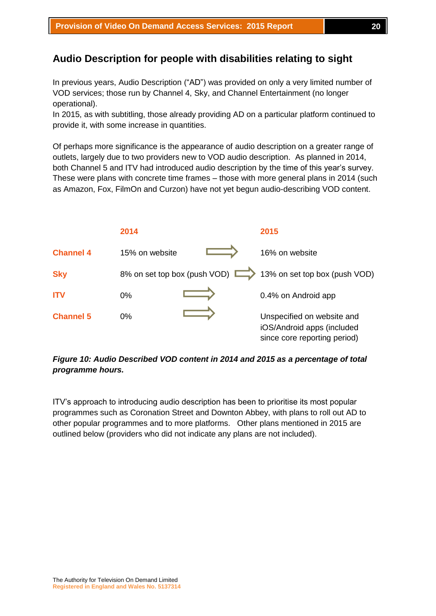# **Audio Description for people with disabilities relating to sight**

In previous years, Audio Description ("AD") was provided on only a very limited number of VOD services; those run by Channel 4, Sky, and Channel Entertainment (no longer operational).

In 2015, as with subtitling, those already providing AD on a particular platform continued to provide it, with some increase in quantities.

Of perhaps more significance is the appearance of audio description on a greater range of outlets, largely due to two providers new to VOD audio description. As planned in 2014, both Channel 5 and ITV had introduced audio description by the time of this year's survey. These were plans with concrete time frames – those with more general plans in 2014 (such as Amazon, Fox, FilmOn and Curzon) have not yet begun audio-describing VOD content.



## *Figure 10: Audio Described VOD content in 2014 and 2015 as a percentage of total programme hours.*

ITV's approach to introducing audio description has been to prioritise its most popular programmes such as Coronation Street and Downton Abbey, with plans to roll out AD to other popular programmes and to more platforms. Other plans mentioned in 2015 are outlined below (providers who did not indicate any plans are not included).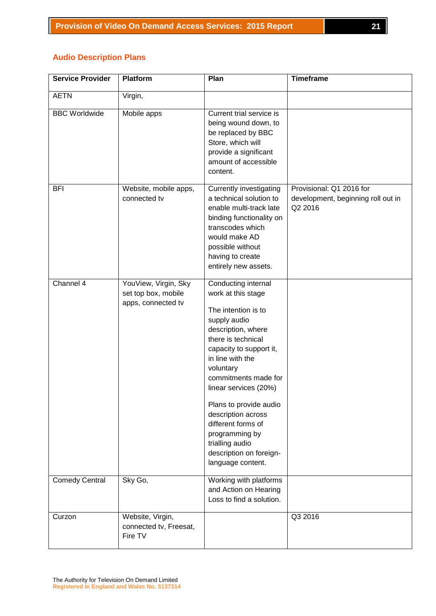# **Audio Description Plans**

| <b>Service Provider</b> | <b>Platform</b>                                                   | Plan                                                                                                                                                                                                                                                                                                                                                                                                 | <b>Timeframe</b>                                                          |
|-------------------------|-------------------------------------------------------------------|------------------------------------------------------------------------------------------------------------------------------------------------------------------------------------------------------------------------------------------------------------------------------------------------------------------------------------------------------------------------------------------------------|---------------------------------------------------------------------------|
| <b>AETN</b>             | Virgin,                                                           |                                                                                                                                                                                                                                                                                                                                                                                                      |                                                                           |
| <b>BBC Worldwide</b>    | Mobile apps                                                       | Current trial service is<br>being wound down, to<br>be replaced by BBC<br>Store, which will<br>provide a significant<br>amount of accessible<br>content.                                                                                                                                                                                                                                             |                                                                           |
| <b>BFI</b>              | Website, mobile apps,<br>connected tv                             | <b>Currently investigating</b><br>a technical solution to<br>enable multi-track late<br>binding functionality on<br>transcodes which<br>would make AD<br>possible without<br>having to create<br>entirely new assets.                                                                                                                                                                                | Provisional: Q1 2016 for<br>development, beginning roll out in<br>Q2 2016 |
| Channel 4               | YouView, Virgin, Sky<br>set top box, mobile<br>apps, connected tv | Conducting internal<br>work at this stage<br>The intention is to<br>supply audio<br>description, where<br>there is technical<br>capacity to support it,<br>in line with the<br>voluntary<br>commitments made for<br>linear services (20%)<br>Plans to provide audio<br>description across<br>different forms of<br>programming by<br>trialling audio<br>description on foreign-<br>language content. |                                                                           |
| <b>Comedy Central</b>   | Sky Go,                                                           | Working with platforms<br>and Action on Hearing<br>Loss to find a solution.                                                                                                                                                                                                                                                                                                                          |                                                                           |
| Curzon                  | Website, Virgin,<br>connected tv, Freesat,<br>Fire TV             |                                                                                                                                                                                                                                                                                                                                                                                                      | Q3 2016                                                                   |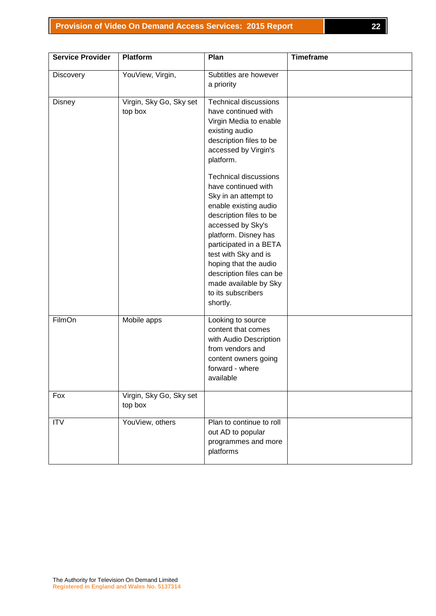### **Provision of Video On Demand Access Services: 2015 Report 22**

| <b>Service Provider</b> | <b>Platform</b>                    | Plan                                                                                                                                                                                                                                                                                                                                           | <b>Timeframe</b> |
|-------------------------|------------------------------------|------------------------------------------------------------------------------------------------------------------------------------------------------------------------------------------------------------------------------------------------------------------------------------------------------------------------------------------------|------------------|
| <b>Discovery</b>        | YouView, Virgin,                   | Subtitles are however<br>a priority                                                                                                                                                                                                                                                                                                            |                  |
| Disney                  | Virgin, Sky Go, Sky set<br>top box | <b>Technical discussions</b><br>have continued with<br>Virgin Media to enable<br>existing audio<br>description files to be<br>accessed by Virgin's<br>platform.                                                                                                                                                                                |                  |
|                         |                                    | <b>Technical discussions</b><br>have continued with<br>Sky in an attempt to<br>enable existing audio<br>description files to be<br>accessed by Sky's<br>platform. Disney has<br>participated in a BETA<br>test with Sky and is<br>hoping that the audio<br>description files can be<br>made available by Sky<br>to its subscribers<br>shortly. |                  |
| FilmOn                  | Mobile apps                        | Looking to source<br>content that comes<br>with Audio Description<br>from vendors and<br>content owners going<br>forward - where<br>available                                                                                                                                                                                                  |                  |
| Fox                     | Virgin, Sky Go, Sky set<br>top box |                                                                                                                                                                                                                                                                                                                                                |                  |
| <b>ITV</b>              | YouView, others                    | Plan to continue to roll<br>out AD to popular<br>programmes and more<br>platforms                                                                                                                                                                                                                                                              |                  |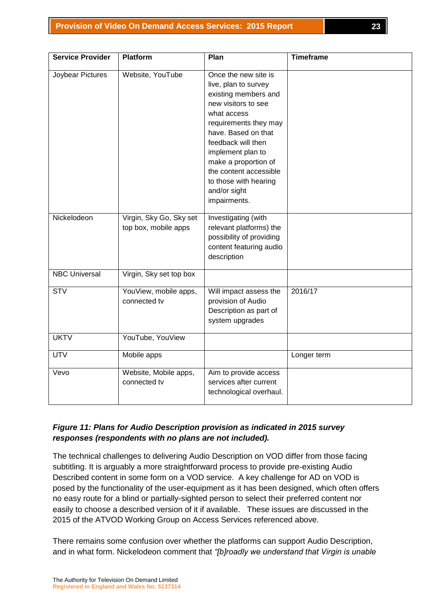| <b>Service Provider</b> | <b>Platform</b>                                 | Plan                                                                                                                                                                                                                                                                                                             | <b>Timeframe</b> |
|-------------------------|-------------------------------------------------|------------------------------------------------------------------------------------------------------------------------------------------------------------------------------------------------------------------------------------------------------------------------------------------------------------------|------------------|
| Joybear Pictures        | Website, YouTube                                | Once the new site is<br>live, plan to survey<br>existing members and<br>new visitors to see<br>what access<br>requirements they may<br>have. Based on that<br>feedback will then<br>implement plan to<br>make a proportion of<br>the content accessible<br>to those with hearing<br>and/or sight<br>impairments. |                  |
| Nickelodeon             | Virgin, Sky Go, Sky set<br>top box, mobile apps | Investigating (with<br>relevant platforms) the<br>possibility of providing<br>content featuring audio<br>description                                                                                                                                                                                             |                  |
| <b>NBC Universal</b>    | Virgin, Sky set top box                         |                                                                                                                                                                                                                                                                                                                  |                  |
| <b>STV</b>              | YouView, mobile apps,<br>connected tv           | Will impact assess the<br>provision of Audio<br>Description as part of<br>system upgrades                                                                                                                                                                                                                        | 2016/17          |
| <b>UKTV</b>             | YouTube, YouView                                |                                                                                                                                                                                                                                                                                                                  |                  |
| <b>UTV</b>              | Mobile apps                                     |                                                                                                                                                                                                                                                                                                                  | Longer term      |
| Vevo                    | Website, Mobile apps,<br>connected tv           | Aim to provide access<br>services after current<br>technological overhaul.                                                                                                                                                                                                                                       |                  |

# *Figure 11: Plans for Audio Description provision as indicated in 2015 survey responses (respondents with no plans are not included).*

The technical challenges to delivering Audio Description on VOD differ from those facing subtitling. It is arguably a more straightforward process to provide pre-existing Audio Described content in some form on a VOD service. A key challenge for AD on VOD is posed by the functionality of the user-equipment as it has been designed, which often offers no easy route for a blind or partially-sighted person to select their preferred content nor easily to choose a described version of it if available. These issues are discussed in the 2015 of the ATVOD Working Group on Access Services referenced above.

There remains some confusion over whether the platforms can support Audio Description, and in what form. Nickelodeon comment that *"[b]roadly we understand that Virgin is unable*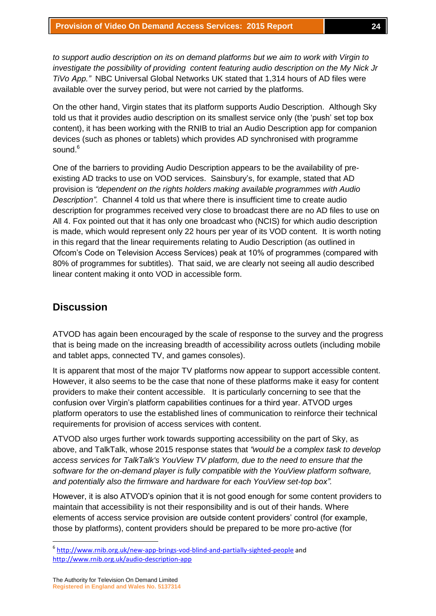*to support audio description on its on demand platforms but we aim to work with Virgin to investigate the possibility of providing content featuring audio description on the My Nick Jr TiVo App."* NBC Universal Global Networks UK stated that 1,314 hours of AD files were available over the survey period, but were not carried by the platforms.

On the other hand, Virgin states that its platform supports Audio Description. Although Sky told us that it provides audio description on its smallest service only (the 'push' set top box content), it has been working with the RNIB to trial an Audio Description app for companion devices (such as phones or tablets) which provides AD synchronised with programme sound. $6$ 

One of the barriers to providing Audio Description appears to be the availability of preexisting AD tracks to use on VOD services. Sainsbury's, for example, stated that AD provision is *"dependent on the rights holders making available programmes with Audio Description"*. Channel 4 told us that where there is insufficient time to create audio description for programmes received very close to broadcast there are no AD files to use on All 4. Fox pointed out that it has only one broadcast who (NCIS) for which audio description is made, which would represent only 22 hours per year of its VOD content. It is worth noting in this regard that the linear requirements relating to Audio Description (as outlined in Ofcom's Code on Television Access Services) peak at 10% of programmes (compared with 80% of programmes for subtitles). That said, we are clearly not seeing all audio described linear content making it onto VOD in accessible form.

# **Discussion**

ATVOD has again been encouraged by the scale of response to the survey and the progress that is being made on the increasing breadth of accessibility across outlets (including mobile and tablet apps, connected TV, and games consoles).

It is apparent that most of the major TV platforms now appear to support accessible content. However, it also seems to be the case that none of these platforms make it easy for content providers to make their content accessible. It is particularly concerning to see that the confusion over Virgin's platform capabilities continues for a third year. ATVOD urges platform operators to use the established lines of communication to reinforce their technical requirements for provision of access services with content.

ATVOD also urges further work towards supporting accessibility on the part of Sky, as above, and TalkTalk, whose 2015 response states that *"would be a complex task to develop access services for TalkTalk's YouView TV platform, due to the need to ensure that the software for the on-demand player is fully compatible with the YouView platform software, and potentially also the firmware and hardware for each YouView set-top box".*

However, it is also ATVOD's opinion that it is not good enough for some content providers to maintain that accessibility is not their responsibility and is out of their hands. Where elements of access service provision are outside content providers' control (for example, those by platforms), content providers should be prepared to be more pro-active (for

<sup>-&</sup>lt;br><sup>6</sup> <http://www.rnib.org.uk/new-app-brings-vod-blind-and-partially-sighted-people> and <http://www.rnib.org.uk/audio-description-app>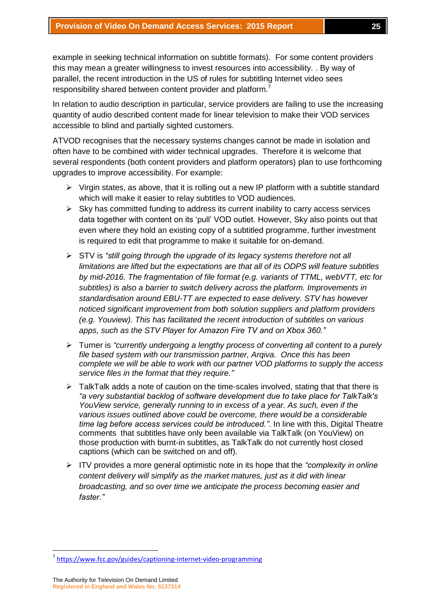example in seeking technical information on subtitle formats). For some content providers this may mean a greater willingness to invest resources into accessibility. . By way of parallel, the recent introduction in the US of rules for subtitling Internet video sees responsibility shared between content provider and platform.<sup>7</sup>

In relation to audio description in particular, service providers are failing to use the increasing quantity of audio described content made for linear television to make their VOD services accessible to blind and partially sighted customers.

ATVOD recognises that the necessary systems changes cannot be made in isolation and often have to be combined with wider technical upgrades. Therefore it is welcome that several respondents (both content providers and platform operators) plan to use forthcoming upgrades to improve accessibility. For example:

- $\triangleright$  Virgin states, as above, that it is rolling out a new IP platform with a subtitle standard which will make it easier to relay subtitles to VOD audiences.
- $\triangleright$  Sky has committed funding to address its current inability to carry access services data together with content on its 'pull' VOD outlet. However, Sky also points out that even where they hold an existing copy of a subtitled programme, further investment is required to edit that programme to make it suitable for on-demand.
- STV is *"still going through the upgrade of its legacy systems therefore not all limitations are lifted but the expectations are that all of its ODPS will feature subtitles by mid-2016. The fragmentation of file format (e.g. variants of TTML, webVTT, etc for subtitles) is also a barrier to switch delivery across the platform. Improvements in standardisation around EBU-TT are expected to ease delivery. STV has however noticed significant improvement from both solution suppliers and platform providers (e.g. Youview). This has facilitated the recent introduction of subtitles on various apps, such as the STV Player for Amazon Fire TV and on Xbox 360."*
- Turner is *"currently undergoing a lengthy process of converting all content to a purely file based system with our transmission partner, Arqiva. Once this has been complete we will be able to work with our partner VOD platforms to supply the access service files in the format that they require."*
- $\triangleright$  TalkTalk adds a note of caution on the time-scales involved, stating that that there is *"a very substantial backlog of software development due to take place for TalkTalk's YouView service, generally running to in excess of a year. As such, even if the various issues outlined above could be overcome, there would be a considerable time lag before access services could be introduced."*. In line with this, Digital Theatre comments that subtitles have only been available via TalkTalk (on YouView) on those production with burnt-in subtitles, as TalkTalk do not currently host closed captions (which can be switched on and off).
- ITV provides a more general optimistic note in its hope that the *"complexity in online content delivery will simplify as the market matures, just as it did with linear broadcasting, and so over time we anticipate the process becoming easier and faster."*

**.** 

<sup>&</sup>lt;sup>7</sup> <https://www.fcc.gov/guides/captioning-internet-video-programming>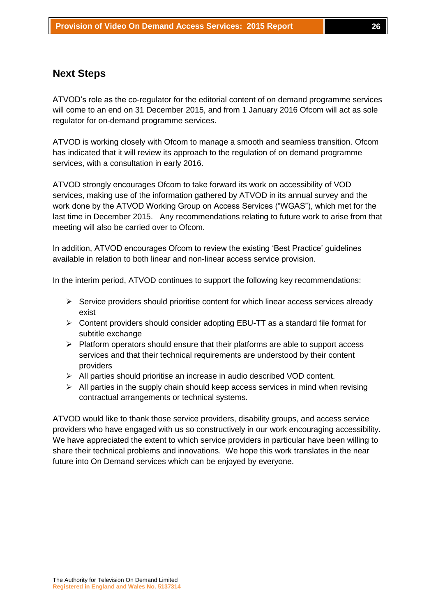## **Next Steps**

ATVOD's role as the co-regulator for the editorial content of on demand programme services will come to an end on 31 December 2015, and from 1 January 2016 Ofcom will act as sole regulator for on-demand programme services.

ATVOD is working closely with Ofcom to manage a smooth and seamless transition. Ofcom has indicated that it will review its approach to the regulation of on demand programme services, with a consultation in early 2016.

ATVOD strongly encourages Ofcom to take forward its work on accessibility of VOD services, making use of the information gathered by ATVOD in its annual survey and the work done by the ATVOD Working Group on Access Services ("WGAS"), which met for the last time in December 2015. Any recommendations relating to future work to arise from that meeting will also be carried over to Ofcom.

In addition, ATVOD encourages Ofcom to review the existing 'Best Practice' guidelines available in relation to both linear and non-linear access service provision.

In the interim period, ATVOD continues to support the following key recommendations:

- $\triangleright$  Service providers should prioritise content for which linear access services already exist
- $\triangleright$  Content providers should consider adopting EBU-TT as a standard file format for subtitle exchange
- $\triangleright$  Platform operators should ensure that their platforms are able to support access services and that their technical requirements are understood by their content providers
- All parties should prioritise an increase in audio described VOD content.
- $\triangleright$  All parties in the supply chain should keep access services in mind when revising contractual arrangements or technical systems.

ATVOD would like to thank those service providers, disability groups, and access service providers who have engaged with us so constructively in our work encouraging accessibility. We have appreciated the extent to which service providers in particular have been willing to share their technical problems and innovations. We hope this work translates in the near future into On Demand services which can be enjoyed by everyone.